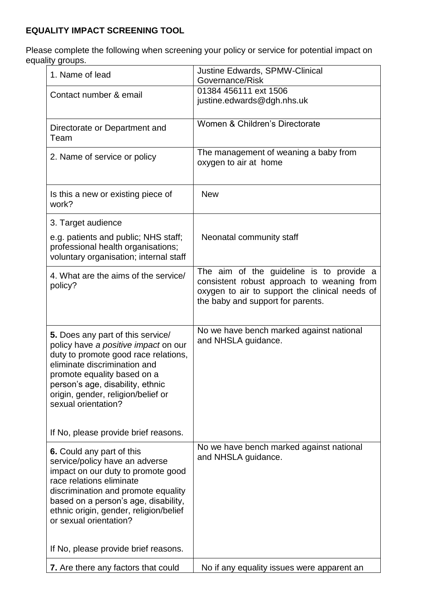## **EQUALITY IMPACT SCREENING TOOL**

Please complete the following when screening your policy or service for potential impact on equality groups.

| 1. Name of lead                                                                                                                                                                                                                                                                   | Justine Edwards, SPMW-Clinical<br>Governance/Risk                                                                                                                             |
|-----------------------------------------------------------------------------------------------------------------------------------------------------------------------------------------------------------------------------------------------------------------------------------|-------------------------------------------------------------------------------------------------------------------------------------------------------------------------------|
| Contact number & email                                                                                                                                                                                                                                                            | 01384 456111 ext 1506<br>justine.edwards@dgh.nhs.uk                                                                                                                           |
| Directorate or Department and<br>Team                                                                                                                                                                                                                                             | Women & Children's Directorate                                                                                                                                                |
| 2. Name of service or policy                                                                                                                                                                                                                                                      | The management of weaning a baby from<br>oxygen to air at home                                                                                                                |
| Is this a new or existing piece of<br>work?                                                                                                                                                                                                                                       | <b>New</b>                                                                                                                                                                    |
| 3. Target audience                                                                                                                                                                                                                                                                |                                                                                                                                                                               |
| e.g. patients and public; NHS staff;<br>professional health organisations;<br>voluntary organisation; internal staff                                                                                                                                                              | Neonatal community staff                                                                                                                                                      |
| 4. What are the aims of the service/<br>policy?                                                                                                                                                                                                                                   | The aim of the guideline is to provide a<br>consistent robust approach to weaning from<br>oxygen to air to support the clinical needs of<br>the baby and support for parents. |
| 5. Does any part of this service/<br>policy have a positive impact on our<br>duty to promote good race relations,<br>eliminate discrimination and<br>promote equality based on a<br>person's age, disability, ethnic<br>origin, gender, religion/belief or<br>sexual orientation? | No we have bench marked against national<br>and NHSLA guidance.                                                                                                               |
| If No, please provide brief reasons.                                                                                                                                                                                                                                              |                                                                                                                                                                               |
| 6. Could any part of this<br>service/policy have an adverse<br>impact on our duty to promote good<br>race relations eliminate<br>discrimination and promote equality<br>based on a person's age, disability,<br>ethnic origin, gender, religion/belief<br>or sexual orientation?  | No we have bench marked against national<br>and NHSLA guidance.                                                                                                               |
| If No, please provide brief reasons.                                                                                                                                                                                                                                              |                                                                                                                                                                               |
| 7. Are there any factors that could                                                                                                                                                                                                                                               | No if any equality issues were apparent an                                                                                                                                    |